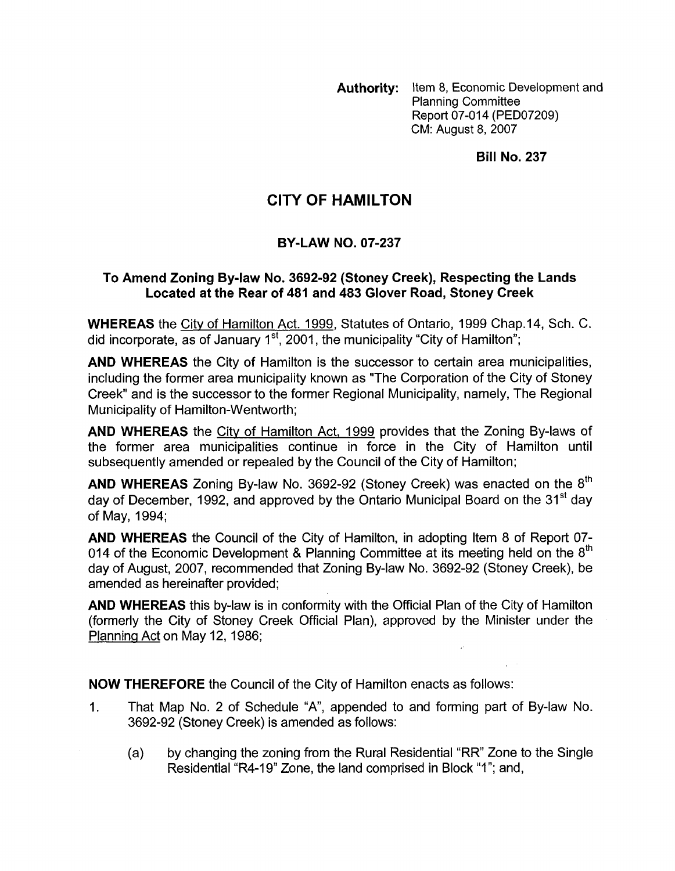**Authority:** Item 8, Economic Development and Planning Committee Report 07-014 (PED07209) CM: August 8,2007

**Bill No. 237** 

## **CITY OF HAMILTON**

## **BY-LAW NO. 07-237**

## **To Amend Zoning By-law No. 3692-92 (Stoney Creek), Respecting the Lands Located at the Rear of 481 and 483 Glover Road, Stoney Creek**

**WHEREAS** the City of Hamilton Act. 1999, Statutes of Ontario, 1999 Chap.14, Sch. C. did incorporate, as of January 1<sup>st</sup>, 2001, the municipality "City of Hamilton";

**AND WHEREAS** the City of Hamilton is the successor to certain area municipalities, including the former area municipality known as "The Corporation of the City of Stoney Creek" and is the successor to the former Regional Municipality, namely, The Regional Municipality of Hamilton-Wentworth:

**AND WHEREAS** the City of Hamilton Act, 1999 provides that the Zoning By-laws of the former area municipalities continue in force in the City of Hamilton until subsequently amended or repealed by the Council of the City of Hamilton;

**AND WHEREAS** Zoning By-law No. 3692-92 (Stoney Creek) was enacted on the 8'h day of December, 1992, and approved by the Ontario Municipal Board on the 31<sup>st</sup> dav of May, 1994;

**AND WHEREAS** the Council of the City of Hamilton, in adopting Item 8 of Report 07- 014 of the Economic Development & Planning Committee at its meeting held on the 8<sup>th</sup> day of August, 2007, recommended that Zoning By-law No. 3692-92 (Stoney Creek), be amended as hereinafter provided;

**AND WHEREAS** this by-law is in conformity with the Official Plan of the City of Hamilton (formerly the City of Stoney Creek Official Plan), approved by the Minister under the Planning Act on May 12, 1986;

**NOW THEREFORE** the Council of the City of Hamilton enacts as follows:

- 1. That Map No. 2 of Schedule "A", appended to and forming part of By-law No. 3692-92 (Stoney Creek) is amended as follows:
	- (a) by changing the zoning from the Rural Residential "RR' Zone to the Single Residential "R4-19" Zone, the land comprised in Block "1"; and,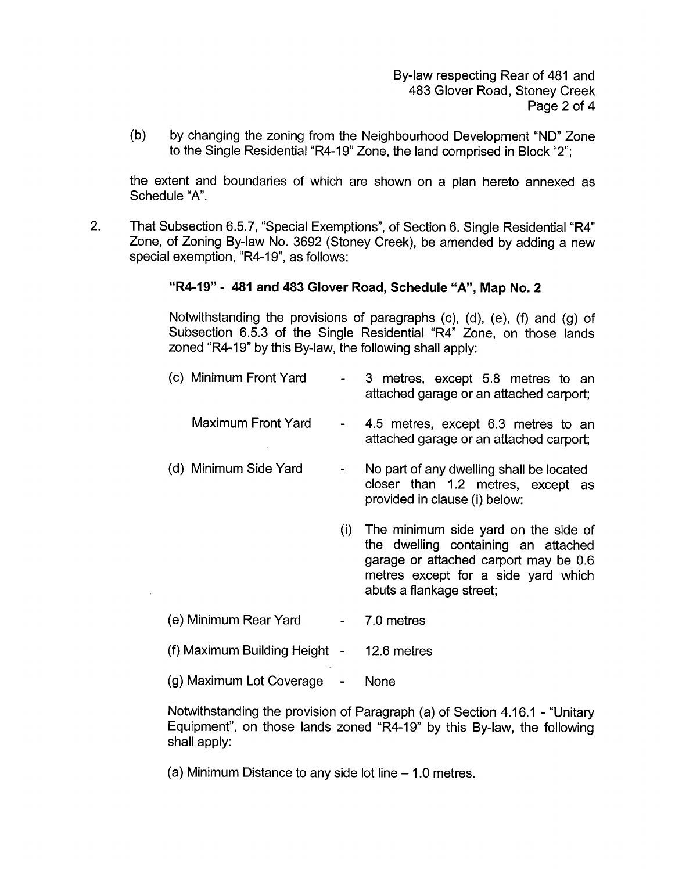By-law respecting Rear of 481 and 483 Glover Road, Stoney Creek Page 2 of 4

(b) by changing the zoning from the Neighbourhood Development "ND" Zone to the Single Residential "R4-19" Zone, the land comprised in Block "2";

the extent and boundaries of which are shown on a plan hereto annexed as Schedule "A".

2. That Subsection 6.5.7, "Special Exemptions", of Section 6. Single Residential "R4" Zone, of Zoning By-law No. 3692 (Stoney Creek), be amended by adding a new special exemption, "R4-19", as follows:

## **"R4-19''** - **481 and 483 Glover Road, Schedule "A', Map No. 2**

Notwithstanding the provisions of paragraphs (c), (d), (e), **(9** and (9) of Subsection 6.5.3 of the Single Residential "R4" Zone, on those lands zoned "R4-19" by this By-law, the following shall apply:

| (c) Minimum Front Yard                    |                | 3 metres, except 5.8 metres to an<br>attached garage or an attached carport;                                                                                                            |
|-------------------------------------------|----------------|-----------------------------------------------------------------------------------------------------------------------------------------------------------------------------------------|
| Maximum Front Yard                        |                | 4.5 metres, except 6.3 metres to an<br>attached garage or an attached carport;                                                                                                          |
| (d) Minimum Side Yard                     | $\blacksquare$ | No part of any dwelling shall be located<br>closer than 1.2 metres, except as<br>provided in clause (i) below:                                                                          |
|                                           | (i)            | The minimum side yard on the side of<br>the dwelling containing an attached<br>garage or attached carport may be 0.6<br>metres except for a side yard which<br>abuts a flankage street; |
| (e) Minimum Rear Yard                     | $\sim 100$     | 7.0 metres                                                                                                                                                                              |
| (f) Maximum Building Height - 12.6 metres |                |                                                                                                                                                                                         |

(9) Maximum Lot Coverage - None

Notwithstanding the provision of Paragraph (a) of Section 4.16.1 - "Unitary Equipment", on those lands zoned "R4-19" by this By-law, the following shall apply:

(a) Minimum Distance to any side lot line  $-1.0$  metres.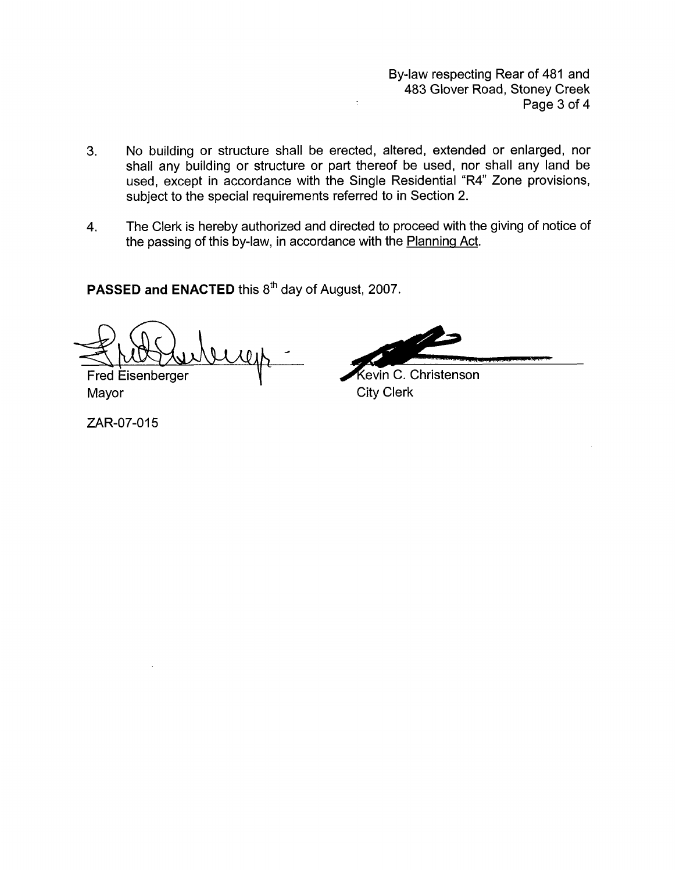By-law respecting Rear of 481 and 483 Glover Road, Stoney Creek Page 3 of 4

**3.** No building or structure shall be erected, altered, extended or enlarged, nor shall any building or structure or part thereof be used, nor shall any land be used, except in accordance with the Single Residential "R4" Zone provisions, subject to the special requirements referred to in Section 2.

 $\frac{1}{2}$ 

4. The Clerk is hereby authorized and directed to proceed with the giving of notice of the passing of this by-law, in accordance with the Planning Act.

PASSED and ENACTED this 8<sup>th</sup> day of August, 2007.

*a*   $\lambda\emptyset$  ) **Fred Eisenberger** 

Mayor **Mayor** City Clerk

ZAR-07-015

kevin C. Christenson